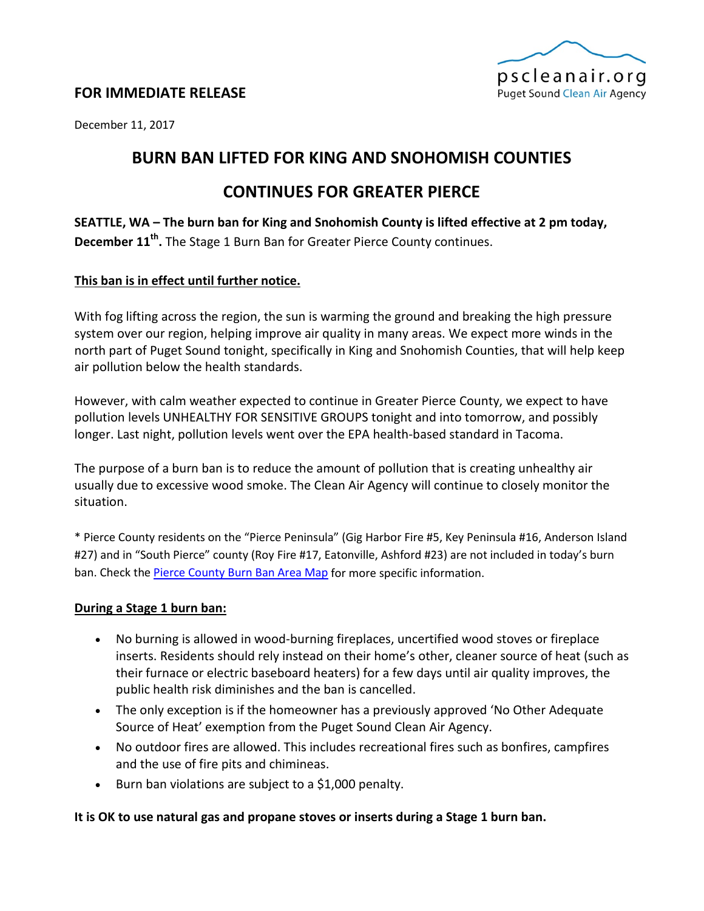

## **FOR IMMEDIATE RELEASE**

December 11, 2017

# **BURN BAN LIFTED FOR KING AND SNOHOMISH COUNTIES**

# **CONTINUES FOR GREATER PIERCE**

**SEATTLE, WA – The burn ban for King and Snohomish County is lifted effective at 2 pm today, December 11th.** The Stage 1 Burn Ban for Greater Pierce County continues.

### **This ban is in effect until further notice.**

With fog lifting across the region, the sun is warming the ground and breaking the high pressure system over our region, helping improve air quality in many areas. We expect more winds in the north part of Puget Sound tonight, specifically in King and Snohomish Counties, that will help keep air pollution below the health standards.

However, with calm weather expected to continue in Greater Pierce County, we expect to have pollution levels UNHEALTHY FOR SENSITIVE GROUPS tonight and into tomorrow, and possibly longer. Last night, pollution levels went over the EPA health-based standard in Tacoma.

The purpose of a burn ban is to reduce the amount of pollution that is creating unhealthy air usually due to excessive wood smoke. The Clean Air Agency will continue to closely monitor the situation.

\* Pierce County residents on the "Pierce Peninsula" (Gig Harbor Fire #5, Key Peninsula #16, Anderson Island #27) and in "South Pierce" county (Roy Fire #17, Eatonville, Ashford #23) are not included in today's burn ban. Check th[e Pierce County Burn Ban Area Map](https://www.google.com/maps/d/viewer?mid=zmvqFrfm-cro.kweEx2mXIOyE) for more specific information.

### **During a Stage 1 burn ban:**

- No burning is allowed in wood-burning fireplaces, uncertified wood stoves or fireplace inserts. Residents should rely instead on their home's other, cleaner source of heat (such as their furnace or electric baseboard heaters) for a few days until air quality improves, the public health risk diminishes and the ban is cancelled.
- The only exception is if the homeowner has a previously approved 'No Other Adequate Source of Heat' exemption from the Puget Sound Clean Air Agency.
- No outdoor fires are allowed. This includes recreational fires such as bonfires, campfires and the use of fire pits and chimineas.
- Burn ban violations are subject to a \$1,000 penalty.

## **It is OK to use natural gas and propane stoves or inserts during a Stage 1 burn ban.**